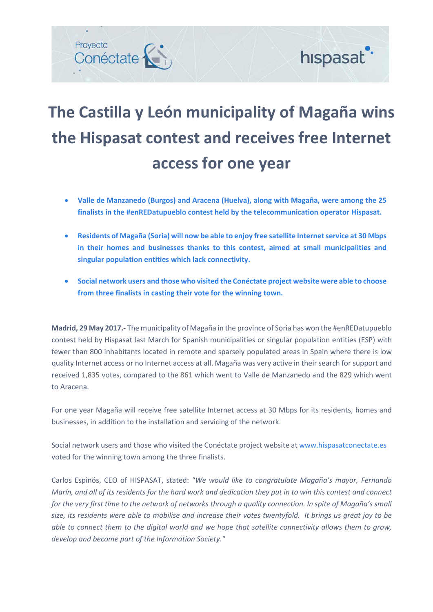

## **The Castilla y León municipality of Magaña wins the Hispasat contest and receives free Internet access for one year**

- **Valle de Manzanedo (Burgos) and Aracena (Huelva), along with Magaña, were among the 25 finalists in the #enREDatupueblo contest held by the telecommunication operator Hispasat.**
- **Residents of Magaña (Soria) will now be able to enjoy free satellite Internetservice at 30 Mbps in their homes and businesses thanks to this contest, aimed at small municipalities and singular population entities which lack connectivity.**
- **Social network users and those who visited the Conéctate project website were able to choose from three finalists in casting their vote for the winning town.**

**Madrid, 29 May 2017.-** The municipality of Magaña in the province of Soria has won the #enREDatupueblo contest held by Hispasat last March for Spanish municipalities or singular population entities (ESP) with fewer than 800 inhabitants located in remote and sparsely populated areas in Spain where there is low quality Internet access or no Internet access at all. Magaña was very active in their search for support and received 1,835 votes, compared to the 861 which went to Valle de Manzanedo and the 829 which went to Aracena.

For one year Magaña will receive free satellite Internet access at 30 Mbps for its residents, homes and businesses, in addition to the installation and servicing of the network.

Social network users and those who visited the Conéctate project website at [www.hispasatconectate.es](http://www.hispasatconectate.es/) voted for the winning town among the three finalists.

Carlos Espinós, CEO of HISPASAT, stated: *"We would like to congratulate Magaña's mayor, Fernando* Marín, and all of its residents for the hard work and dedication they put in to win this contest and connect for the very first time to the network of networks through a quality connection. In spite of Magaña's small size, its residents were able to mobilise and increase their votes twentyfold. It brings us great joy to be able to connect them to the digital world and we hope that satellite connectivity allows them to grow, *develop and become part of the Information Society."*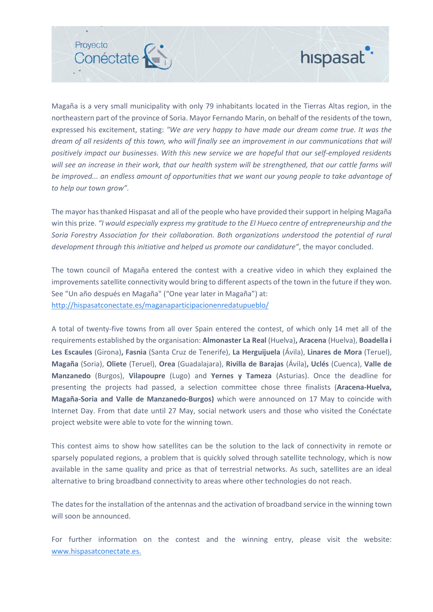## Provecto Conéctate



Magaña is a very small municipality with only 79 inhabitants located in the Tierras Altas region, in the northeastern part of the province of Soria. Mayor Fernando Marín, on behalf of the residents of the town, expressed his excitement, stating: *"We are very happy to have made our dream come true. It was the* dream of all residents of this town, who will finally see an improvement in our communications that will *positively impact our businesses. With this new service we are hopeful that our self-employed residents* will see an increase in their work, that our health system will be strengthened, that our cattle farms will *be improved... an endless amount of opportunities that we want our young people to take advantage of to help our town grow".*

The mayor has thanked Hispasat and all of the people who have provided their support in helping Magaña win this prize. *"I would especially express my gratitude to the El Hueco centre of entrepreneurship and the Soria Forestry Association for their collaboration. Both organizations understood the potential of rural development through this initiative and helped us promote our candidature"*, the mayor concluded.

The town council of Magaña entered the contest with a creative video in which they explained the improvements satellite connectivity would bring to different aspects of the town in the future if they won. See "Un año después en Magaña" ("One year later in Magaña") at: <http://hispasatconectate.es/maganaparticipacionenredatupueblo/>

A total of twenty-five towns from all over Spain entered the contest, of which only 14 met all of the requirements established by the organisation: **Almonaster La Real** (Huelva)**, Aracena** (Huelva), **Boadella i Les Escaules** (Girona)**, Fasnia** (Santa Cruz de Tenerife), **La Herguijuela** (Ávila), **Linares de Mora** (Teruel), **Magaña** (Soria), **Oliete** (Teruel), **Orea** (Guadalajara), **Rivilla de Barajas** (Ávila)**, Uclés** (Cuenca), **Valle de Manzanedo** (Burgos), **Vilapoupre** (Lugo) and **Yernes y Tameza** (Asturias). Once the deadline for presenting the projects had passed, a selection committee chose three finalists (**Aracena-Huelva, Magaña-Soria and Valle de Manzanedo-Burgos)** which were announced on 17 May to coincide with Internet Day. From that date until 27 May, social network users and those who visited the Conéctate project website were able to vote for the winning town.

This contest aims to show how satellites can be the solution to the lack of connectivity in remote or sparsely populated regions, a problem that is quickly solved through satellite technology, which is now available in the same quality and price as that of terrestrial networks. As such, satellites are an ideal alternative to bring broadband connectivity to areas where other technologies do not reach.

The dates for the installation of the antennas and the activation of broadband service in the winning town will soon be announced.

For further information on the contest and the winning entry, please visit the website: [www.hispasatconectate.es.](http://www.hispasatconectate.es/)